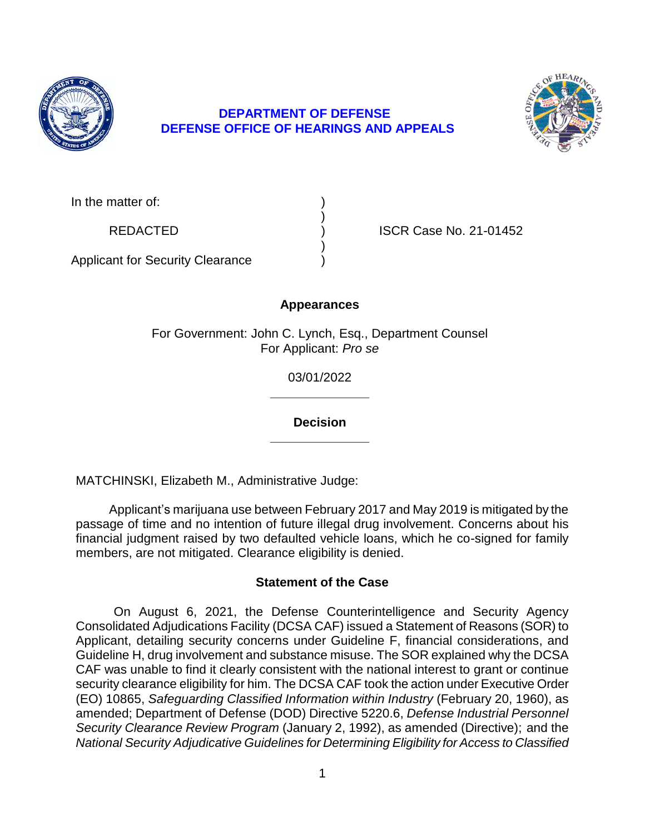

## **DEPARTMENT OF DEFENSE DEFENSE OFFICE OF HEARINGS AND APPEALS**



| In the matter of: |  |
|-------------------|--|
|                   |  |

REDACTED (and in the set of the ISCR Case No. 21-01452)

Applicant for Security Clearance )

### **Appearances**

)

)

For Government: John C. Lynch, Esq., Department Counsel For Applicant: *Pro se* 

> **\_\_\_\_\_\_\_\_\_\_\_\_\_\_**  03/01/2022

> **\_\_\_\_\_\_\_\_\_\_\_\_\_\_ Decision**

MATCHINSKI, Elizabeth M., Administrative Judge:

 Applicant's marijuana use between February 2017 and May 2019 is mitigated by the passage of time and no intention of future illegal drug involvement. Concerns about his financial judgment raised by two defaulted vehicle loans, which he co-signed for family members, are not mitigated. Clearance eligibility is denied.

### **Statement of the Case**

 On August 6, 2021, the Defense Counterintelligence and Security Agency Consolidated Adjudications Facility (DCSA CAF) issued a Statement of Reasons (SOR) to Applicant, detailing security concerns under Guideline F, financial considerations, and Guideline H, drug involvement and substance misuse. The SOR explained why the DCSA CAF was unable to find it clearly consistent with the national interest to grant or continue security clearance eligibility for him. The DCSA CAF took the action under Executive Order  (EO) 10865, *Safeguarding Classified Information within Industry* (February 20, 1960), as amended; Department of Defense (DOD) Directive 5220.6, *Defense Industrial Personnel Security Clearance Review Program* (January 2, 1992), as amended (Directive); and the  *National Security Adjudicative Guidelines for Determining Eligibility for Access to Classified*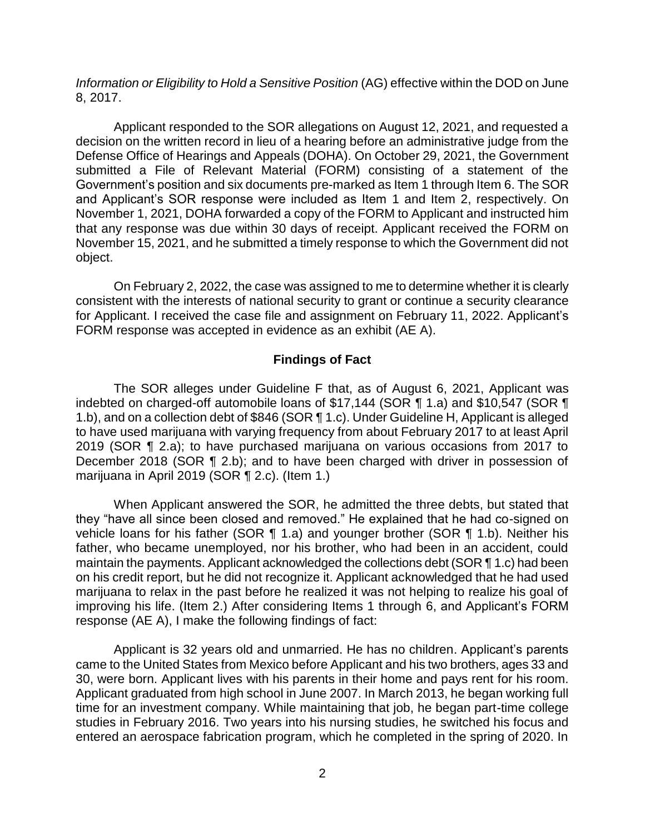Information or Eligibility to Hold a Sensitive Position (AG) effective within the DOD on June 8, 2017.

 Applicant responded to the SOR allegations on August 12, 2021, and requested a decision on the written record in lieu of a hearing before an administrative judge from the submitted a File of Relevant Material (FORM) consisting of a statement of the Government's position and six documents pre-marked as Item 1 through Item 6. The SOR and Applicant's SOR response were included as Item 1 and Item 2, respectively. On November 1, 2021, DOHA forwarded a copy of the FORM to Applicant and instructed him that any response was due within 30 days of receipt. Applicant received the FORM on November 15, 2021, and he submitted a timely response to which the Government did not Defense Office of Hearings and Appeals (DOHA). On October 29, 2021, the Government object.

 On February 2, 2022, the case was assigned to me to determine whether it is clearly consistent with the interests of national security to grant or continue a security clearance for Applicant. I received the case file and assignment on February 11, 2022. Applicant's FORM response was accepted in evidence as an exhibit (AE A).

#### **Findings of Fact**

 The SOR alleges under Guideline F that, as of August 6, 2021, Applicant was indebted on charged-off automobile loans of \$17,144 (SOR ¶ 1.a) and \$10,547 (SOR ¶ 1.b), and on a collection debt of \$846 (SOR ¶ 1.c). Under Guideline H, Applicant is alleged to have used marijuana with varying frequency from about February 2017 to at least April 2019 (SOR ¶ 2.a); to have purchased marijuana on various occasions from 2017 to December 2018 (SOR ¶ 2.b); and to have been charged with driver in possession of marijuana in April 2019 (SOR ¶ 2.c). (Item 1.)

 When Applicant answered the SOR, he admitted the three debts, but stated that they "have all since been closed and removed." He explained that he had co-signed on vehicle loans for his father (SOR ¶ 1.a) and younger brother (SOR ¶ 1.b). Neither his father, who became unemployed, nor his brother, who had been in an accident, could maintain the payments. Applicant acknowledged the collections debt (SOR ¶ 1.c) had been on his credit report, but he did not recognize it. Applicant acknowledged that he had used marijuana to relax in the past before he realized it was not helping to realize his goal of improving his life. (Item 2.) After considering Items 1 through 6, and Applicant's FORM response (AE A), I make the following findings of fact:

 came to the United States from Mexico before Applicant and his two brothers, ages 33 and 30, were born. Applicant lives with his parents in their home and pays rent for his room. Applicant graduated from high school in June 2007. In March 2013, he began working full time for an investment company. While maintaining that job, he began part-time college studies in February 2016. Two years into his nursing studies, he switched his focus and entered an aerospace fabrication program, which he completed in the spring of 2020. In Applicant is 32 years old and unmarried. He has no children. Applicant's parents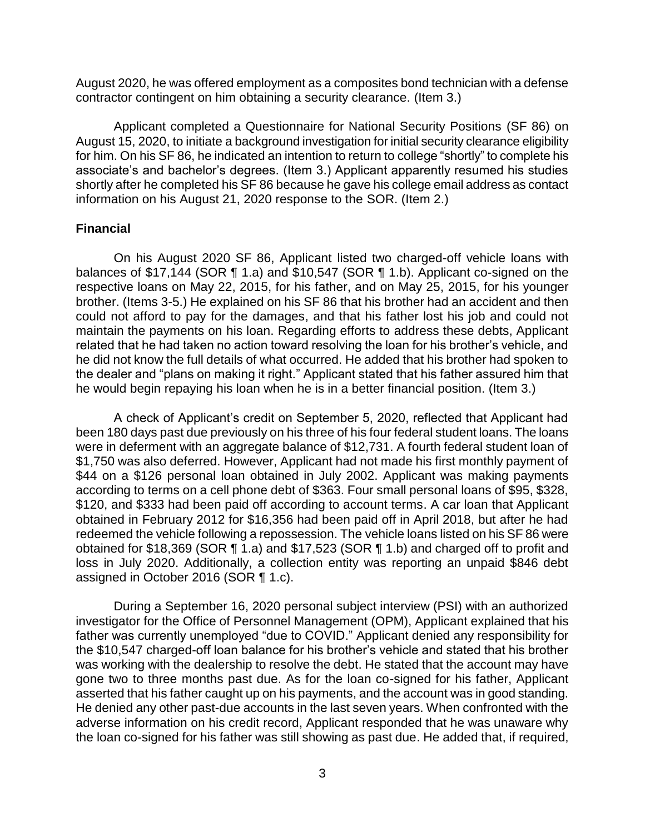August 2020, he was offered employment as a composites bond technician with a defense contractor contingent on him obtaining a security clearance. (Item 3.)

 Applicant completed a Questionnaire for National Security Positions (SF 86) on August 15, 2020, to initiate a background investigation for initial security clearance eligibility for him. On his SF 86, he indicated an intention to return to college "shortly" to complete his associate's and bachelor's degrees. (Item 3.) Applicant apparently resumed his studies shortly after he completed his SF 86 because he gave his college email address as contact information on his August 21, 2020 response to the SOR. (Item 2.)

#### **Financial**

 On his August 2020 SF 86, Applicant listed two charged-off vehicle loans with balances of \$17,144 (SOR ¶ 1.a) and \$10,547 (SOR ¶ 1.b). Applicant co-signed on the respective loans on May 22, 2015, for his father, and on May 25, 2015, for his younger brother. (Items 3-5.) He explained on his SF 86 that his brother had an accident and then could not afford to pay for the damages, and that his father lost his job and could not maintain the payments on his loan. Regarding efforts to address these debts, Applicant related that he had taken no action toward resolving the loan for his brother's vehicle, and he did not know the full details of what occurred. He added that his brother had spoken to the dealer and "plans on making it right." Applicant stated that his father assured him that he would begin repaying his loan when he is in a better financial position. (Item 3.)

 A check of Applicant's credit on September 5, 2020, reflected that Applicant had been 180 days past due previously on his three of his four federal student loans. The loans were in deferment with an aggregate balance of \$12,731. A fourth federal student loan of \$1,750 was also deferred. However, Applicant had not made his first monthly payment of \$44 on a \$126 personal loan obtained in July 2002. Applicant was making payments according to terms on a cell phone debt of \$363. Four small personal loans of \$95, \$328, \$120, and \$333 had been paid off according to account terms. A car loan that Applicant obtained in February 2012 for \$16,356 had been paid off in April 2018, but after he had redeemed the vehicle following a repossession. The vehicle loans listed on his SF 86 were obtained for \$18,369 (SOR ¶ 1.a) and \$17,523 (SOR ¶ 1.b) and charged off to profit and loss in July 2020. Additionally, a collection entity was reporting an unpaid \$846 debt assigned in October 2016 (SOR ¶ 1.c).

 During a September 16, 2020 personal subject interview (PSI) with an authorized investigator for the Office of Personnel Management (OPM), Applicant explained that his father was currently unemployed "due to COVID." Applicant denied any responsibility for the \$10,547 charged-off loan balance for his brother's vehicle and stated that his brother was working with the dealership to resolve the debt. He stated that the account may have gone two to three months past due. As for the loan co-signed for his father, Applicant asserted that his father caught up on his payments, and the account was in good standing. He denied any other past-due accounts in the last seven years. When confronted with the adverse information on his credit record, Applicant responded that he was unaware why the loan co-signed for his father was still showing as past due. He added that, if required,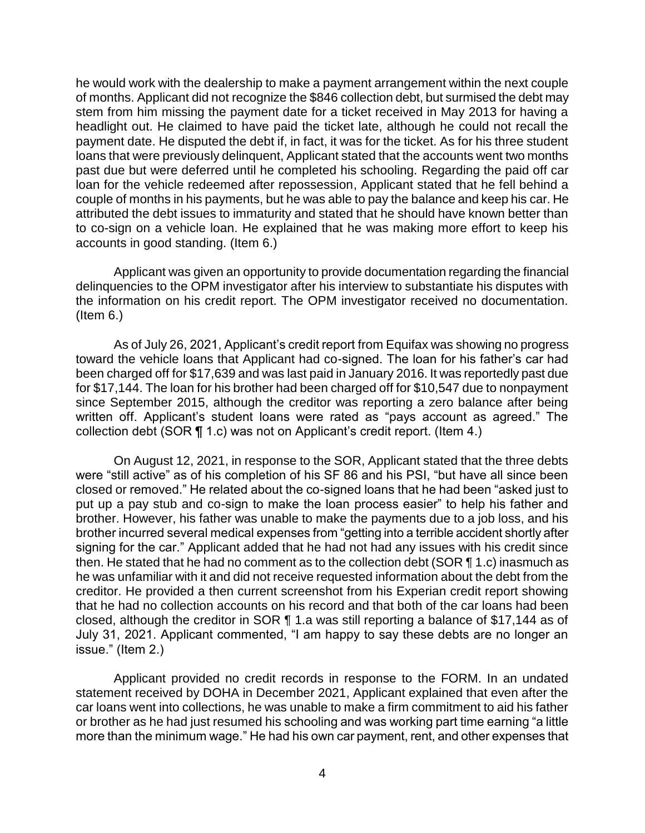he would work with the dealership to make a payment arrangement within the next couple of months. Applicant did not recognize the \$846 collection debt, but surmised the debt may stem from him missing the payment date for a ticket received in May 2013 for having a headlight out. He claimed to have paid the ticket late, although he could not recall the payment date. He disputed the debt if, in fact, it was for the ticket. As for his three student loans that were previously delinquent, Applicant stated that the accounts went two months past due but were deferred until he completed his schooling. Regarding the paid off car loan for the vehicle redeemed after repossession, Applicant stated that he fell behind a couple of months in his payments, but he was able to pay the balance and keep his car. He attributed the debt issues to immaturity and stated that he should have known better than to co-sign on a vehicle loan. He explained that he was making more effort to keep his accounts in good standing. (Item 6.)

 Applicant was given an opportunity to provide documentation regarding the financial delinquencies to the OPM investigator after his interview to substantiate his disputes with the information on his credit report. The OPM investigator received no documentation. (Item 6.)

 As of July 26, 2021, Applicant's credit report from Equifax was showing no progress toward the vehicle loans that Applicant had co-signed. The loan for his father's car had been charged off for \$17,639 and was last paid in January 2016. It was reportedly past due for \$17,144. The loan for his brother had been charged off for \$10,547 due to nonpayment since September 2015, although the creditor was reporting a zero balance after being written off. Applicant's student loans were rated as "pays account as agreed." The collection debt (SOR ¶ 1.c) was not on Applicant's credit report. (Item 4.)

 On August 12, 2021, in response to the SOR, Applicant stated that the three debts were "still active" as of his completion of his SF 86 and his PSI, "but have all since been closed or removed." He related about the co-signed loans that he had been "asked just to put up a pay stub and co-sign to make the loan process easier" to help his father and brother. However, his father was unable to make the payments due to a job loss, and his brother incurred several medical expenses from "getting into a terrible accident shortly after then. He stated that he had no comment as to the collection debt (SOR  $\P$  1.c) inasmuch as he was unfamiliar with it and did not receive requested information about the debt from the creditor. He provided a then current screenshot from his Experian credit report showing that he had no collection accounts on his record and that both of the car loans had been closed, although the creditor in SOR ¶ 1.a was still reporting a balance of \$17,144 as of July 31, 2021. Applicant commented, "I am happy to say these debts are no longer an signing for the car." Applicant added that he had not had any issues with his credit since issue." (Item 2.)

 Applicant provided no credit records in response to the FORM. In an undated statement received by DOHA in December 2021, Applicant explained that even after the car loans went into collections, he was unable to make a firm commitment to aid his father or brother as he had just resumed his schooling and was working part time earning "a little more than the minimum wage." He had his own car payment, rent, and other expenses that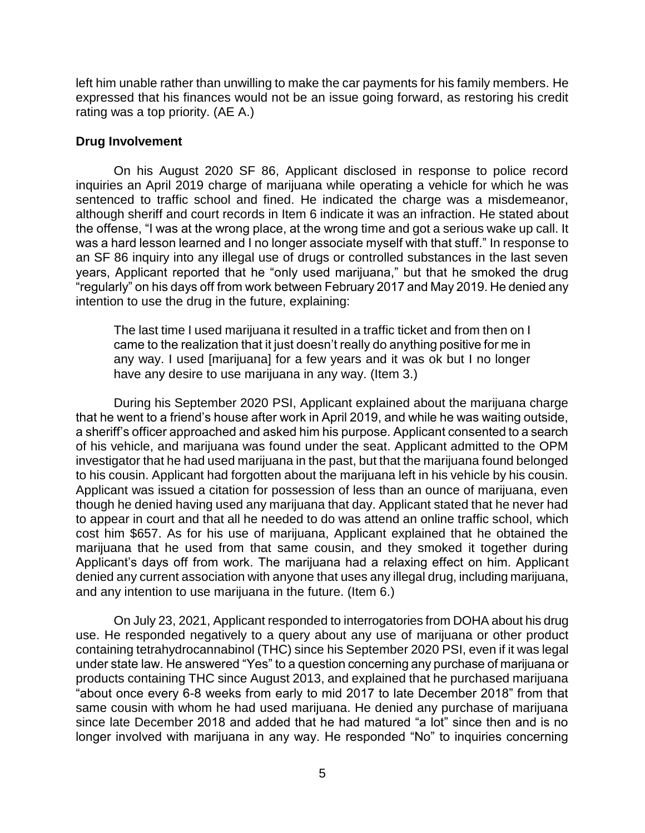left him unable rather than unwilling to make the car payments for his family members. He expressed that his finances would not be an issue going forward, as restoring his credit rating was a top priority. (AE A.)

#### **Drug Involvement**

 On his August 2020 SF 86, Applicant disclosed in response to police record inquiries an April 2019 charge of marijuana while operating a vehicle for which he was sentenced to traffic school and fined. He indicated the charge was a misdemeanor, although sheriff and court records in Item 6 indicate it was an infraction. He stated about the offense, "I was at the wrong place, at the wrong time and got a serious wake up call. It was a hard lesson learned and I no longer associate myself with that stuff." In response to an SF 86 inquiry into any illegal use of drugs or controlled substances in the last seven years, Applicant reported that he "only used marijuana," but that he smoked the drug "regularly" on his days off from work between February 2017 and May 2019. He denied any intention to use the drug in the future, explaining:

The last time I used marijuana it resulted in a traffic ticket and from then on I came to the realization that it just doesn't really do anything positive for me in any way. I used [marijuana] for a few years and it was ok but I no longer have any desire to use marijuana in any way. (Item 3.)

 During his September 2020 PSI, Applicant explained about the marijuana charge that he went to a friend's house after work in April 2019, and while he was waiting outside, a sheriff's officer approached and asked him his purpose. Applicant consented to a search of his vehicle, and marijuana was found under the seat. Applicant admitted to the OPM investigator that he had used marijuana in the past, but that the marijuana found belonged to his cousin. Applicant had forgotten about the marijuana left in his vehicle by his cousin. Applicant was issued a citation for possession of less than an ounce of marijuana, even though he denied having used any marijuana that day. Applicant stated that he never had to appear in court and that all he needed to do was attend an online traffic school, which cost him \$657. As for his use of marijuana, Applicant explained that he obtained the marijuana that he used from that same cousin, and they smoked it together during Applicant's days off from work. The marijuana had a relaxing effect on him. Applicant denied any current association with anyone that uses any illegal drug, including marijuana, and any intention to use marijuana in the future. (Item 6.)

 On July 23, 2021, Applicant responded to interrogatories from DOHA about his drug use. He responded negatively to a query about any use of marijuana or other product containing tetrahydrocannabinol (THC) since his September 2020 PSI, even if it was legal under state law. He answered "Yes" to a question concerning any purchase of marijuana or products containing THC since August 2013, and explained that he purchased marijuana "about once every 6-8 weeks from early to mid 2017 to late December 2018" from that same cousin with whom he had used marijuana. He denied any purchase of marijuana since late December 2018 and added that he had matured "a lot" since then and is no longer involved with marijuana in any way. He responded "No" to inquiries concerning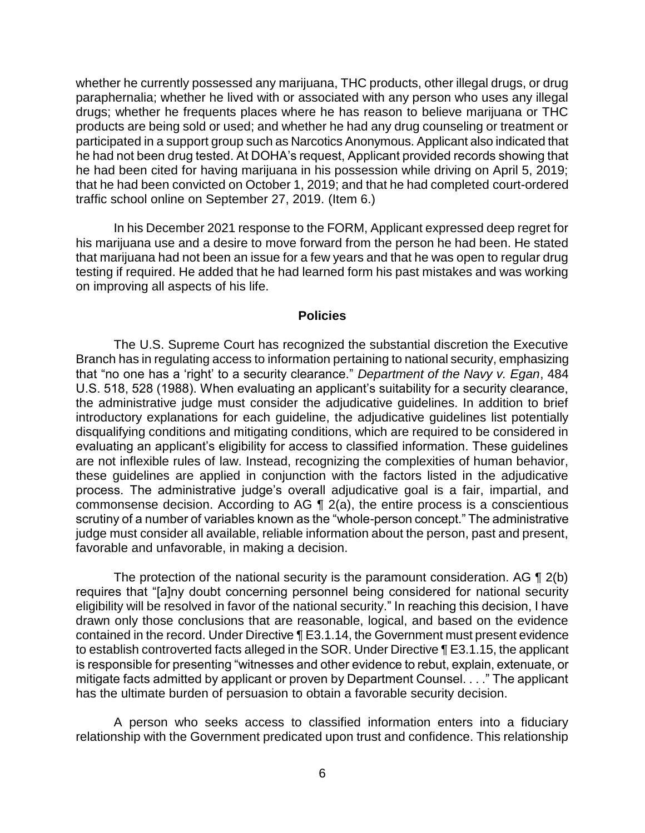whether he currently possessed any marijuana, THC products, other illegal drugs, or drug paraphernalia; whether he lived with or associated with any person who uses any illegal drugs; whether he frequents places where he has reason to believe marijuana or THC products are being sold or used; and whether he had any drug counseling or treatment or participated in a support group such as Narcotics Anonymous. Applicant also indicated that he had not been drug tested. At DOHA's request, Applicant provided records showing that he had been cited for having marijuana in his possession while driving on April 5, 2019; that he had been convicted on October 1, 2019; and that he had completed court-ordered traffic school online on September 27, 2019. (Item 6.)

 In his December 2021 response to the FORM, Applicant expressed deep regret for his marijuana use and a desire to move forward from the person he had been. He stated that marijuana had not been an issue for a few years and that he was open to regular drug testing if required. He added that he had learned form his past mistakes and was working on improving all aspects of his life.

#### **Policies**

The U.S. Supreme Court has recognized the substantial discretion the Executive Branch has in regulating access to information pertaining to national security, emphasizing that "no one has a 'right' to a security clearance." *Department of the Navy v. Egan*, 484 U.S. 518, 528 (1988). When evaluating an applicant's suitability for a security clearance, the administrative judge must consider the adjudicative guidelines. In addition to brief introductory explanations for each guideline, the adjudicative guidelines list potentially disqualifying conditions and mitigating conditions, which are required to be considered in evaluating an applicant's eligibility for access to classified information. These guidelines are not inflexible rules of law. Instead, recognizing the complexities of human behavior, these guidelines are applied in conjunction with the factors listed in the adjudicative process. The administrative judge's overall adjudicative goal is a fair, impartial, and commonsense decision. According to AG ¶ 2(a), the entire process is a conscientious scrutiny of a number of variables known as the "whole-person concept." The administrative judge must consider all available, reliable information about the person, past and present, favorable and unfavorable, in making a decision.

The protection of the national security is the paramount consideration. AG  $\P$  2(b) eligibility will be resolved in favor of the national security." In reaching this decision, I have drawn only those conclusions that are reasonable, logical, and based on the evidence contained in the record. Under Directive ¶ E3.1.14, the Government must present evidence to establish controverted facts alleged in the SOR. Under Directive ¶ E3.1.15, the applicant is responsible for presenting "witnesses and other evidence to rebut, explain, extenuate, or mitigate facts admitted by applicant or proven by Department Counsel. . . ." The applicant requires that "[a]ny doubt concerning personnel being considered for national security has the ultimate burden of persuasion to obtain a favorable security decision.

 A person who seeks access to classified information enters into a fiduciary relationship with the Government predicated upon trust and confidence. This relationship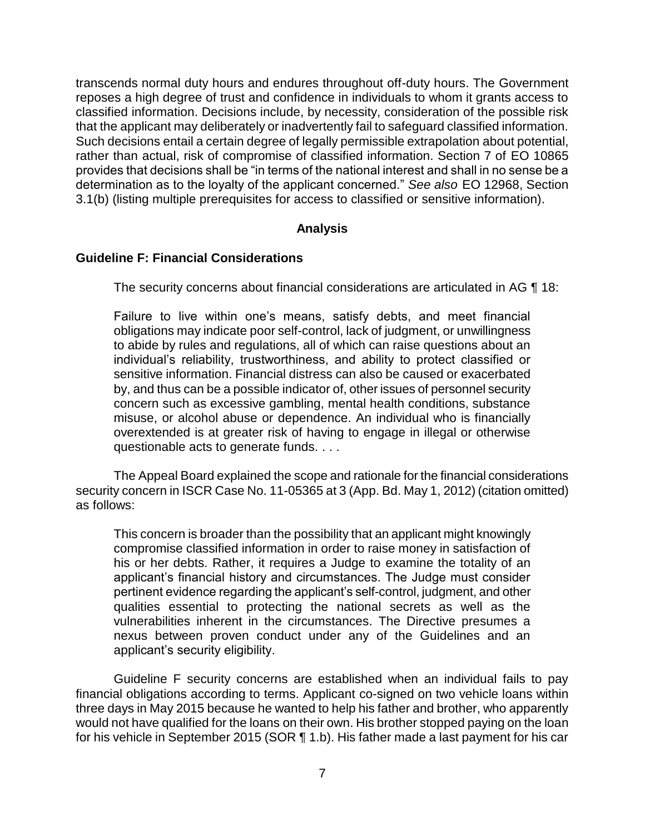transcends normal duty hours and endures throughout off-duty hours. The Government reposes a high degree of trust and confidence in individuals to whom it grants access to classified information. Decisions include, by necessity, consideration of the possible risk that the applicant may deliberately or inadvertently fail to safeguard classified information. Such decisions entail a certain degree of legally permissible extrapolation about potential, rather than actual, risk of compromise of classified information. Section 7 of EO 10865 provides that decisions shall be "in terms of the national interest and shall in no sense be a determination as to the loyalty of the applicant concerned." *See also* EO 12968, Section 3.1(b) (listing multiple prerequisites for access to classified or sensitive information).

#### **Analysis**

#### **Guideline F: Financial Considerations**

The security concerns about financial considerations are articulated in AG ¶ 18:

Failure to live within one's means, satisfy debts, and meet financial obligations may indicate poor self-control, lack of judgment, or unwillingness to abide by rules and regulations, all of which can raise questions about an individual's reliability, trustworthiness, and ability to protect classified or sensitive information. Financial distress can also be caused or exacerbated by, and thus can be a possible indicator of, other issues of personnel security concern such as excessive gambling, mental health conditions, substance misuse, or alcohol abuse or dependence. An individual who is financially overextended is at greater risk of having to engage in illegal or otherwise questionable acts to generate funds. . . .

 The Appeal Board explained the scope and rationale for the financial considerations security concern in ISCR Case No. 11-05365 at 3 (App. Bd. May 1, 2012) (citation omitted) as follows:

This concern is broader than the possibility that an applicant might knowingly compromise classified information in order to raise money in satisfaction of his or her debts. Rather, it requires a Judge to examine the totality of an applicant's financial history and circumstances. The Judge must consider pertinent evidence regarding the applicant's self-control, judgment, and other qualities essential to protecting the national secrets as well as the vulnerabilities inherent in the circumstances. The Directive presumes a nexus between proven conduct under any of the Guidelines and an applicant's security eligibility.

 Guideline F security concerns are established when an individual fails to pay financial obligations according to terms. Applicant co-signed on two vehicle loans within three days in May 2015 because he wanted to help his father and brother, who apparently would not have qualified for the loans on their own. His brother stopped paying on the loan for his vehicle in September 2015 (SOR ¶ 1.b). His father made a last payment for his car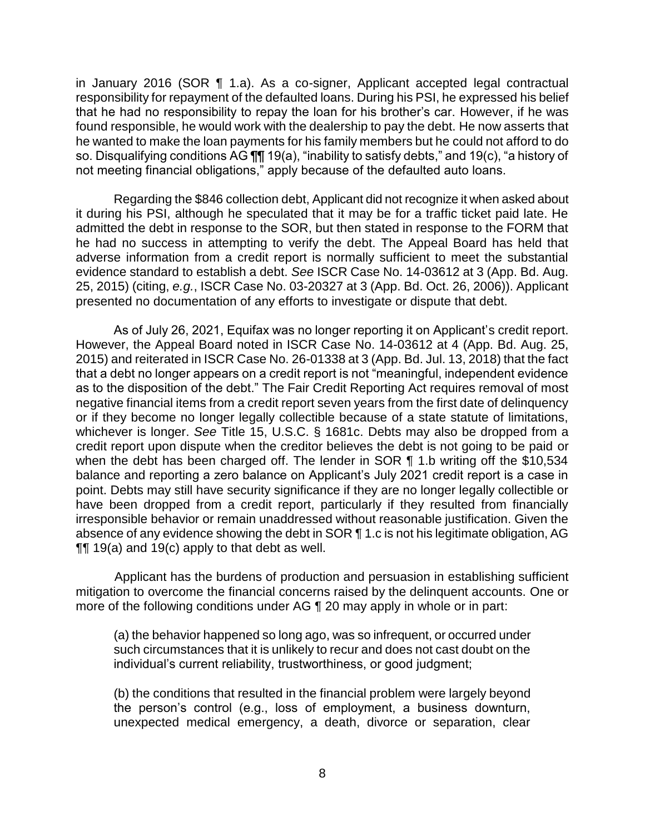in January 2016 (SOR ¶ 1.a). As a co-signer, Applicant accepted legal contractual responsibility for repayment of the defaulted loans. During his PSI, he expressed his belief that he had no responsibility to repay the loan for his brother's car. However, if he was found responsible, he would work with the dealership to pay the debt. He now asserts that he wanted to make the loan payments for his family members but he could not afford to do so. Disqualifying conditions AG ¶¶ 19(a), "inability to satisfy debts," and 19(c), "a history of not meeting financial obligations," apply because of the defaulted auto loans.

 Regarding the \$846 collection debt, Applicant did not recognize it when asked about it during his PSI, although he speculated that it may be for a traffic ticket paid late. He admitted the debt in response to the SOR, but then stated in response to the FORM that he had no success in attempting to verify the debt. The Appeal Board has held that adverse information from a credit report is normally sufficient to meet the substantial evidence standard to establish a debt. *See* ISCR Case No. 14-03612 at 3 (App. Bd. Aug. 25, 2015) (citing, *e.g.*, ISCR Case No. 03-20327 at 3 (App. Bd. Oct. 26, 2006)). Applicant presented no documentation of any efforts to investigate or dispute that debt.

 As of July 26, 2021, Equifax was no longer reporting it on Applicant's credit report. However, the Appeal Board noted in ISCR Case No. 14-03612 at 4 (App. Bd. Aug. 25, 2015) and reiterated in ISCR Case No. 26-01338 at 3 (App. Bd. Jul. 13, 2018) that the fact that a debt no longer appears on a credit report is not "meaningful, independent evidence as to the disposition of the debt." The Fair Credit Reporting Act requires removal of most negative financial items from a credit report seven years from the first date of delinquency or if they become no longer legally collectible because of a state statute of limitations, whichever is longer. *See* Title 15, U.S.C. § 1681c. Debts may also be dropped from a credit report upon dispute when the creditor believes the debt is not going to be paid or when the debt has been charged off. The lender in SOR ¶ 1.b writing off the \$10,534 balance and reporting a zero balance on Applicant's July 2021 credit report is a case in have been dropped from a credit report, particularly if they resulted from financially irresponsible behavior or remain unaddressed without reasonable justification. Given the absence of any evidence showing the debt in SOR ¶ 1.c is not his legitimate obligation, AG point. Debts may still have security significance if they are no longer legally collectible or  $\P$  19(a) and 19(c) apply to that debt as well.

 Applicant has the burdens of production and persuasion in establishing sufficient mitigation to overcome the financial concerns raised by the delinquent accounts. One or more of the following conditions under AG ¶ 20 may apply in whole or in part:

(a) the behavior happened so long ago, was so infrequent, or occurred under such circumstances that it is unlikely to recur and does not cast doubt on the individual's current reliability, trustworthiness, or good judgment;

(b) the conditions that resulted in the financial problem were largely beyond the person's control (e.g., loss of employment, a business downturn, unexpected medical emergency, a death, divorce or separation, clear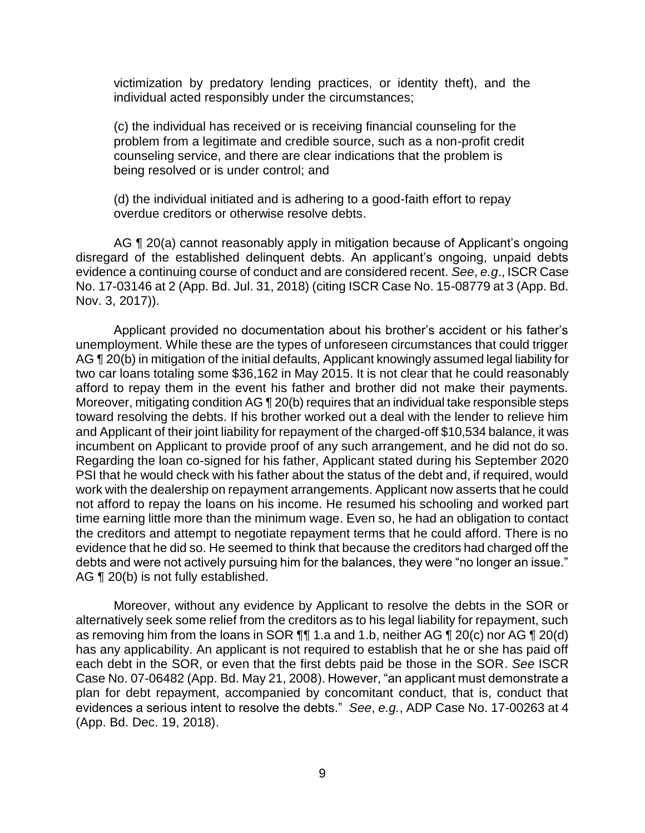victimization by predatory lending practices, or identity theft), and the individual acted responsibly under the circumstances;

(c) the individual has received or is receiving financial counseling for the problem from a legitimate and credible source, such as a non-profit credit counseling service, and there are clear indications that the problem is being resolved or is under control; and

(d) the individual initiated and is adhering to a good-faith effort to repay overdue creditors or otherwise resolve debts.

AG ¶ 20(a) cannot reasonably apply in mitigation because of Applicant's ongoing disregard of the established delinquent debts. An applicant's ongoing, unpaid debts evidence a continuing course of conduct and are considered recent. *See*, *e.g*., ISCR Case No. 17-03146 at 2 (App. Bd. Jul. 31, 2018) (citing ISCR Case No. 15-08779 at 3 (App. Bd. Nov. 3, 2017)).

 Applicant provided no documentation about his brother's accident or his father's unemployment. While these are the types of unforeseen circumstances that could trigger AG ¶ 20(b) in mitigation of the initial defaults, Applicant knowingly assumed legal liability for two car loans totaling some \$36,162 in May 2015. It is not clear that he could reasonably afford to repay them in the event his father and brother did not make their payments. Moreover, mitigating condition AG ¶ 20(b) requires that an individual take responsible steps toward resolving the debts. If his brother worked out a deal with the lender to relieve him and Applicant of their joint liability for repayment of the charged-off \$10,534 balance, it was incumbent on Applicant to provide proof of any such arrangement, and he did not do so. PSI that he would check with his father about the status of the debt and, if required, would work with the dealership on repayment arrangements. Applicant now asserts that he could not afford to repay the loans on his income. He resumed his schooling and worked part time earning little more than the minimum wage. Even so, he had an obligation to contact evidence that he did so. He seemed to think that because the creditors had charged off the debts and were not actively pursuing him for the balances, they were "no longer an issue." Regarding the loan co-signed for his father, Applicant stated during his September 2020 the creditors and attempt to negotiate repayment terms that he could afford. There is no AG ¶ 20(b) is not fully established.

 Moreover, without any evidence by Applicant to resolve the debts in the SOR or alternatively seek some relief from the creditors as to his legal liability for repayment, such as removing him from the loans in SOR ¶¶ 1.a and 1.b, neither AG ¶ 20(c) nor AG ¶ 20(d) each debt in the SOR, or even that the first debts paid be those in the SOR. *See* ISCR Case No. 07-06482 (App. Bd. May 21, 2008). However, "an applicant must demonstrate a plan for debt repayment, accompanied by concomitant conduct, that is, conduct that evidences a serious intent to resolve the debts." *See*, *e.g.*, ADP Case No. 17-00263 at 4 has any applicability. An applicant is not required to establish that he or she has paid off (App. Bd. Dec. 19, 2018).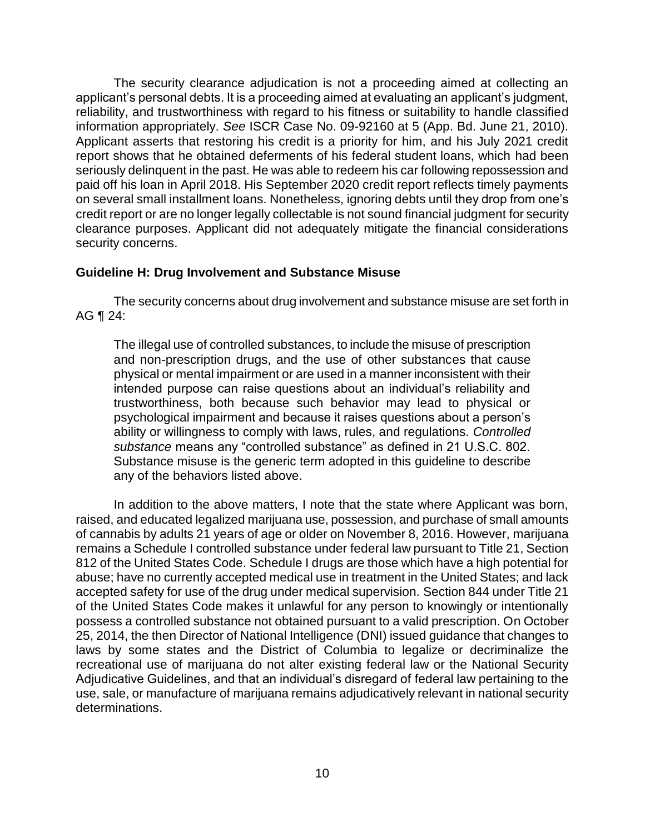The security clearance adjudication is not a proceeding aimed at collecting an applicant's personal debts. It is a proceeding aimed at evaluating an applicant's judgment, reliability, and trustworthiness with regard to his fitness or suitability to handle classified information appropriately. *See* ISCR Case No. 09-92160 at 5 (App. Bd. June 21, 2010). Applicant asserts that restoring his credit is a priority for him, and his July 2021 credit report shows that he obtained deferments of his federal student loans, which had been seriously delinquent in the past. He was able to redeem his car following repossession and paid off his loan in April 2018. His September 2020 credit report reflects timely payments on several small installment loans. Nonetheless, ignoring debts until they drop from one's credit report or are no longer legally collectable is not sound financial judgment for security clearance purposes. Applicant did not adequately mitigate the financial considerations security concerns.

### **Guideline H: Drug Involvement and Substance Misuse**

 The security concerns about drug involvement and substance misuse are set forth in AG ¶ 24:

The illegal use of controlled substances, to include the misuse of prescription and non-prescription drugs, and the use of other substances that cause physical or mental impairment or are used in a manner inconsistent with their intended purpose can raise questions about an individual's reliability and trustworthiness, both because such behavior may lead to physical or psychological impairment and because it raises questions about a person's ability or willingness to comply with laws, rules, and regulations. *Controlled substance* means any "controlled substance" as defined in 21 U.S.C. 802. Substance misuse is the generic term adopted in this guideline to describe any of the behaviors listed above.

 In addition to the above matters, I note that the state where Applicant was born, raised, and educated legalized marijuana use, possession, and purchase of small amounts of cannabis by adults 21 years of age or older on November 8, 2016. However, marijuana remains a Schedule I controlled substance under federal law pursuant to Title 21, Section 812 of the United States Code. Schedule I drugs are those which have a high potential for abuse; have no currently accepted medical use in treatment in the United States; and lack accepted safety for use of the drug under medical supervision. Section 844 under Title 21 of the United States Code makes it unlawful for any person to knowingly or intentionally possess a controlled substance not obtained pursuant to a valid prescription. On October 25, 2014, the then Director of National Intelligence (DNI) issued guidance that changes to laws by some states and the District of Columbia to legalize or decriminalize the recreational use of marijuana do not alter existing federal law or the National Security Adjudicative Guidelines, and that an individual's disregard of federal law pertaining to the use, sale, or manufacture of marijuana remains adjudicatively relevant in national security determinations.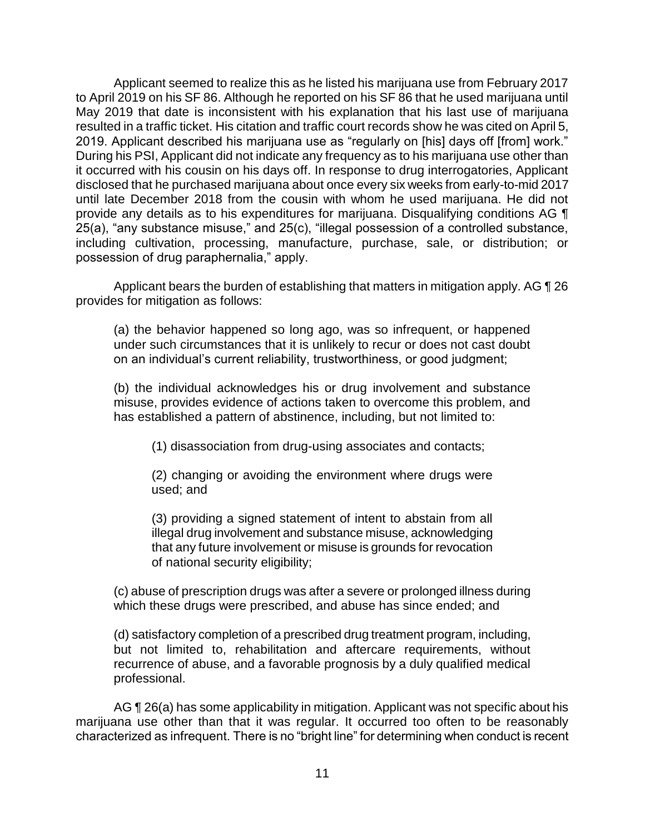Applicant seemed to realize this as he listed his marijuana use from February 2017 to April 2019 on his SF 86. Although he reported on his SF 86 that he used marijuana until May 2019 that date is inconsistent with his explanation that his last use of marijuana resulted in a traffic ticket. His citation and traffic court records show he was cited on April 5, 2019. Applicant described his marijuana use as "regularly on [his] days off [from] work." During his PSI, Applicant did not indicate any frequency as to his marijuana use other than it occurred with his cousin on his days off. In response to drug interrogatories, Applicant disclosed that he purchased marijuana about once every six weeks from early-to-mid 2017 until late December 2018 from the cousin with whom he used marijuana. He did not provide any details as to his expenditures for marijuana. Disqualifying conditions AG ¶ 25(a), "any substance misuse," and 25(c), "illegal possession of a controlled substance, including cultivation, processing, manufacture, purchase, sale, or distribution; or possession of drug paraphernalia," apply.

Applicant bears the burden of establishing that matters in mitigation apply. AG ¶ 26 provides for mitigation as follows:

(a) the behavior happened so long ago, was so infrequent, or happened under such circumstances that it is unlikely to recur or does not cast doubt on an individual's current reliability, trustworthiness, or good judgment;

(b) the individual acknowledges his or drug involvement and substance misuse, provides evidence of actions taken to overcome this problem, and has established a pattern of abstinence, including, but not limited to:

(1) disassociation from drug-using associates and contacts;

(2) changing or avoiding the environment where drugs were used; and

(3) providing a signed statement of intent to abstain from all illegal drug involvement and substance misuse, acknowledging that any future involvement or misuse is grounds for revocation of national security eligibility;

(c) abuse of prescription drugs was after a severe or prolonged illness during which these drugs were prescribed, and abuse has since ended; and

(d) satisfactory completion of a prescribed drug treatment program, including, but not limited to, rehabilitation and aftercare requirements, without recurrence of abuse, and a favorable prognosis by a duly qualified medical professional.

AG ¶ 26(a) has some applicability in mitigation. Applicant was not specific about his marijuana use other than that it was regular. It occurred too often to be reasonably characterized as infrequent. There is no "bright line" for determining when conduct is recent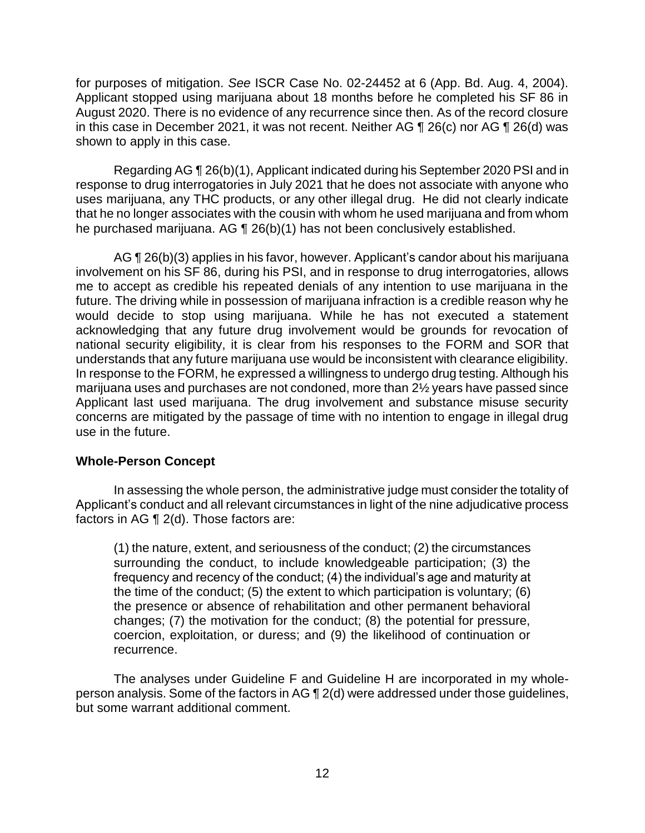for purposes of mitigation. *See* ISCR Case No. 02-24452 at 6 (App. Bd. Aug. 4, 2004). Applicant stopped using marijuana about 18 months before he completed his SF 86 in August 2020. There is no evidence of any recurrence since then. As of the record closure in this case in December 2021, it was not recent. Neither AG  $\P$  26(c) nor AG  $\P$  26(d) was shown to apply in this case.

 Regarding AG ¶ 26(b)(1), Applicant indicated during his September 2020 PSI and in response to drug interrogatories in July 2021 that he does not associate with anyone who uses marijuana, any THC products, or any other illegal drug. He did not clearly indicate that he no longer associates with the cousin with whom he used marijuana and from whom he purchased marijuana. AG ¶ 26(b)(1) has not been conclusively established.

 involvement on his SF 86, during his PSI, and in response to drug interrogatories, allows me to accept as credible his repeated denials of any intention to use marijuana in the future. The driving while in possession of marijuana infraction is a credible reason why he would decide to stop using marijuana. While he has not executed a statement acknowledging that any future drug involvement would be grounds for revocation of national security eligibility, it is clear from his responses to the FORM and SOR that understands that any future marijuana use would be inconsistent with clearance eligibility. In response to the FORM, he expressed a willingness to undergo drug testing. Although his marijuana uses and purchases are not condoned, more than 2½ years have passed since Applicant last used marijuana. The drug involvement and substance misuse security AG ¶ 26(b)(3) applies in his favor, however. Applicant's candor about his marijuana concerns are mitigated by the passage of time with no intention to engage in illegal drug use in the future.

#### **Whole-Person Concept**

 In assessing the whole person, the administrative judge must consider the totality of Applicant's conduct and all relevant circumstances in light of the nine adjudicative process factors in AG ¶ 2(d). Those factors are:

(1) the nature, extent, and seriousness of the conduct; (2) the circumstances surrounding the conduct, to include knowledgeable participation; (3) the frequency and recency of the conduct; (4) the individual's age and maturity at the time of the conduct; (5) the extent to which participation is voluntary; (6) the presence or absence of rehabilitation and other permanent behavioral changes; (7) the motivation for the conduct; (8) the potential for pressure, coercion, exploitation, or duress; and (9) the likelihood of continuation or recurrence.

 The analyses under Guideline F and Guideline H are incorporated in my whole- person analysis. Some of the factors in AG ¶ 2(d) were addressed under those guidelines, but some warrant additional comment.